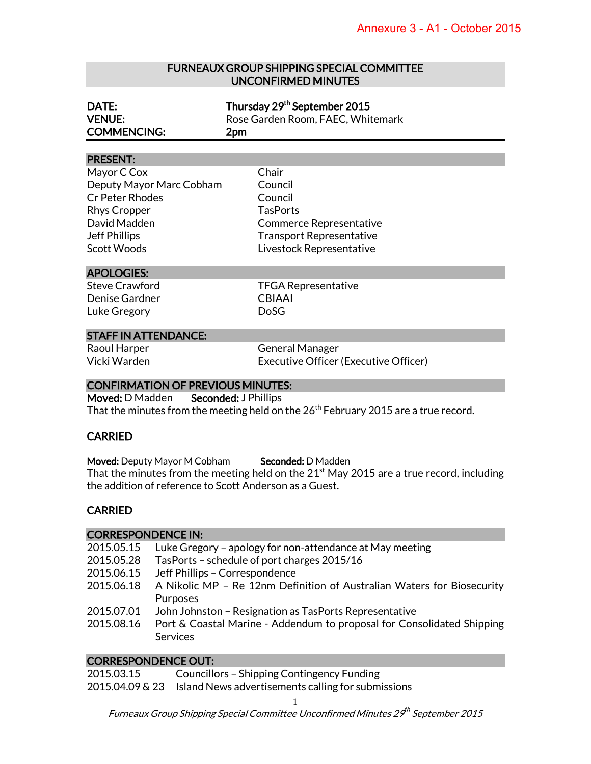#### FURNEAUX GROUP SHIPPING SPECIAL COMMITTEE UNCONFIRMED MINUTES

| DATE:              | Thursday 29 <sup>th</sup> September 2015 |  |
|--------------------|------------------------------------------|--|
| <b>VENUE:</b>      | Rose Garden Room, FAEC, Whitemark        |  |
| <b>COMMENCING:</b> | 2 <sub>pm</sub>                          |  |

#### PRESENT:

| Chair                           |
|---------------------------------|
| Council                         |
| Council                         |
| <b>TasPorts</b>                 |
| <b>Commerce Representative</b>  |
| <b>Transport Representative</b> |
| Livestock Representative        |
|                                 |

#### APOLOGIES:

Denise Gardner CBIAAI Luke Gregory **DoSG** 

port Representative ock Representative Steve Crawford TFGA Representative

#### STAFF IN ATTENDANCE:

Raoul Harper General Manager Vicki Warden Executive Officer (Executive Officer)

#### CONFIRMATION OF PREVIOUS MINUTES:

Moved: D Madden Seconded: J Phillips That the minutes from the meeting held on the 26<sup>th</sup> February 2015 are a true record.

### CARRIED

Moved: Deputy Mayor M Cobham Seconded: D Madden That the minutes from the meeting held on the  $21<sup>st</sup>$  May 2015 are a true record, including the addition of reference to Scott Anderson as a Guest.

### **CARRIED**

#### CORRESPONDENCE IN:

| 2015.05.15 | Luke Gregory – apology for non-attendance at May meeting               |
|------------|------------------------------------------------------------------------|
| 2015.05.28 | TasPorts - schedule of port charges 2015/16                            |
| 2015.06.15 | Jeff Phillips - Correspondence                                         |
| 2015.06.18 | A Nikolic MP - Re 12nm Definition of Australian Waters for Biosecurity |
|            | Purposes                                                               |
| 2015.07.01 | John Johnston – Resignation as TasPorts Representative                 |
| 2015.08.16 | Port & Coastal Marine - Addendum to proposal for Consolidated Shipping |
|            | <b>Services</b>                                                        |

#### CORRESPONDENCE OUT:

2015.03.15 Councillors – Shipping Contingency Funding 2015.04.09 & 23 Island News advertisements calling for submissions

1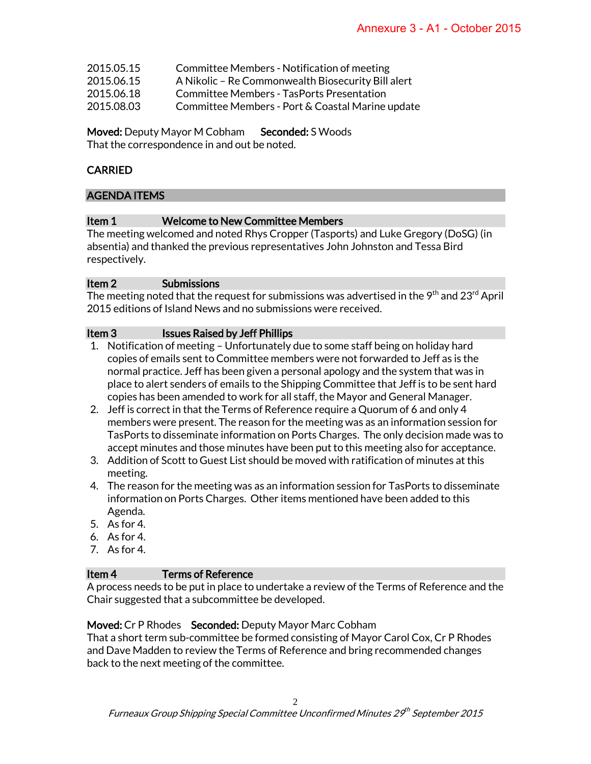| 2015.05.15 | Committee Members - Notification of meeting |  |
|------------|---------------------------------------------|--|
|            |                                             |  |

- 2015.06.15 A Nikolic Re Commonwealth Biosecurity Bill alert
- 2015.06.18 Committee Members TasPorts Presentation
- 2015.08.03 Committee Members Port & Coastal Marine update

Moved: Deputy Mayor M Cobham Seconded: S Woods That the correspondence in and out be noted.

# CARRIED

## AGENDA ITEMS

## Item 1 Welcome to New Committee Members

The meeting welcomed and noted Rhys Cropper (Tasports) and Luke Gregory (DoSG) (in absentia) and thanked the previous representatives John Johnston and Tessa Bird respectively.

### Item 2 Submissions

The meeting noted that the request for submissions was advertised in the  $9<sup>th</sup>$  and 23<sup>rd</sup> April 2015 editions of Island News and no submissions were received.

## Item 3 Issues Raised by Jeff Phillips

- 1. Notification of meeting Unfortunately due to some staff being on holiday hard copies of emails sent to Committee members were not forwarded to Jeff as is the normal practice. Jeff has been given a personal apology and the system that was in place to alert senders of emails to the Shipping Committee that Jeff is to be sent hard copies has been amended to work for all staff, the Mayor and General Manager.
- 2. Jeff is correct in that the Terms of Reference require a Quorum of 6 and only 4 members were present. The reason for the meeting was as an information session for TasPorts to disseminate information on Ports Charges. The only decision made was to accept minutes and those minutes have been put to this meeting also for acceptance.
- 3. Addition of Scott to Guest List should be moved with ratification of minutes at this meeting.
- 4. The reason for the meeting was as an information session for TasPorts to disseminate information on Ports Charges. Other items mentioned have been added to this Agenda.
- 5. As for 4.
- 6. As for 4.
- 7. As for 4.

### Item 4 Terms of Reference

A process needs to be put in place to undertake a review of the Terms of Reference and the Chair suggested that a subcommittee be developed.

### Moved: Cr P Rhodes Seconded: Deputy Mayor Marc Cobham

That a short term sub-committee be formed consisting of Mayor Carol Cox, Cr P Rhodes and Dave Madden to review the Terms of Reference and bring recommended changes back to the next meeting of the committee.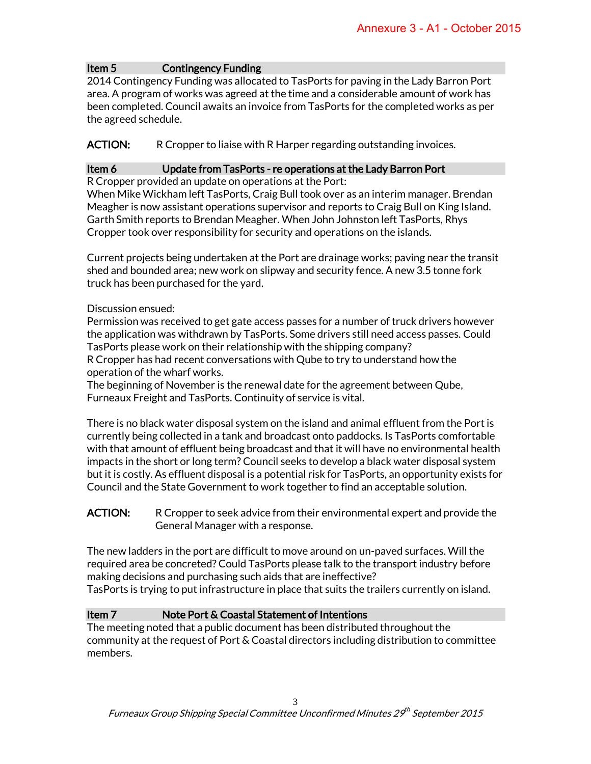## Item 5 Contingency Funding

2014 Contingency Funding was allocated to TasPorts for paving in the Lady Barron Port area. A program of works was agreed at the time and a considerable amount of work has been completed. Council awaits an invoice from TasPorts for the completed works as per the agreed schedule.

## ACTION: R Cropper to liaise with R Harper regarding outstanding invoices.

## Item 6 Update from TasPorts - re operations at the Lady Barron Port

R Cropper provided an update on operations at the Port:

When Mike Wickham left TasPorts, Craig Bull took over as an interim manager. Brendan Meagher is now assistant operations supervisor and reports to Craig Bull on King Island. Garth Smith reports to Brendan Meagher. When John Johnston left TasPorts, Rhys Cropper took over responsibility for security and operations on the islands.

Current projects being undertaken at the Port are drainage works; paving near the transit shed and bounded area; new work on slipway and security fence. A new 3.5 tonne fork truck has been purchased for the yard.

### Discussion ensued:

Permission was received to get gate access passes for a number of truck drivers however the application was withdrawn by TasPorts. Some drivers still need access passes. Could TasPorts please work on their relationship with the shipping company?

R Cropper has had recent conversations with Qube to try to understand how the operation of the wharf works.

The beginning of November is the renewal date for the agreement between Qube, Furneaux Freight and TasPorts. Continuity of service is vital.

There is no black water disposal system on the island and animal effluent from the Port is currently being collected in a tank and broadcast onto paddocks. Is TasPorts comfortable with that amount of effluent being broadcast and that it will have no environmental health impacts in the short or long term? Council seeks to develop a black water disposal system but it is costly. As effluent disposal is a potential risk for TasPorts, an opportunity exists for Council and the State Government to work together to find an acceptable solution.

### **ACTION:** R Cropper to seek advice from their environmental expert and provide the General Manager with a response.

The new ladders in the port are difficult to move around on un-paved surfaces. Will the required area be concreted? Could TasPorts please talk to the transport industry before making decisions and purchasing such aids that are ineffective? TasPorts is trying to put infrastructure in place that suits the trailers currently on island.

### Item 7 Note Port & Coastal Statement of Intentions

The meeting noted that a public document has been distributed throughout the community at the request of Port & Coastal directors including distribution to committee members.